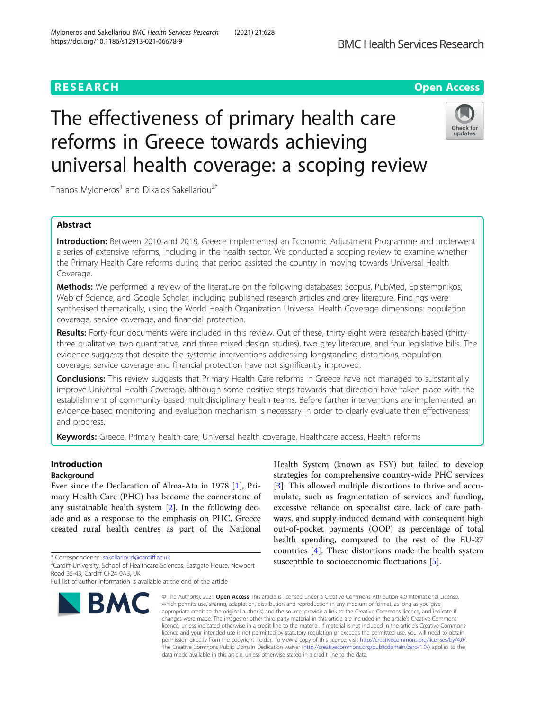# Myloneros and Sakellariou BMC Health Services Research (2021) 21:628 https://doi.org/10.1186/s12913-021-06678-9

# The effectiveness of primary health care reforms in Greece towards achieving universal health coverage: a scoping review



Thanos Myloneros<sup>1</sup> and Dikaios Sakellariou<sup>2\*</sup>

### Abstract

Introduction: Between 2010 and 2018, Greece implemented an Economic Adjustment Programme and underwent a series of extensive reforms, including in the health sector. We conducted a scoping review to examine whether the Primary Health Care reforms during that period assisted the country in moving towards Universal Health Coverage.

Methods: We performed a review of the literature on the following databases: Scopus, PubMed, Epistemonikos, Web of Science, and Google Scholar, including published research articles and grey literature. Findings were synthesised thematically, using the World Health Organization Universal Health Coverage dimensions: population coverage, service coverage, and financial protection.

Results: Forty-four documents were included in this review. Out of these, thirty-eight were research-based (thirtythree qualitative, two quantitative, and three mixed design studies), two grey literature, and four legislative bills. The evidence suggests that despite the systemic interventions addressing longstanding distortions, population coverage, service coverage and financial protection have not significantly improved.

**Conclusions:** This review suggests that Primary Health Care reforms in Greece have not managed to substantially improve Universal Health Coverage, although some positive steps towards that direction have taken place with the establishment of community-based multidisciplinary health teams. Before further interventions are implemented, an evidence-based monitoring and evaluation mechanism is necessary in order to clearly evaluate their effectiveness and progress.

Keywords: Greece, Primary health care, Universal health coverage, Healthcare access, Health reforms

### Introduction

### Background

Ever since the Declaration of Alma-Ata in 1978 [[1\]](#page-9-0), Primary Health Care (PHC) has become the cornerstone of any sustainable health system [[2\]](#page-9-0). In the following decade and as a response to the emphasis on PHC, Greece created rural health centres as part of the National

\* Correspondence: [sakellarioud@cardiff.ac.uk](mailto:sakellarioud@cardiff.ac.uk) <sup>2</sup>

Full list of author information is available at the end of the article



Health System (known as ESY) but failed to develop strategies for comprehensive country-wide PHC services [[3\]](#page-9-0). This allowed multiple distortions to thrive and accumulate, such as fragmentation of services and funding, excessive reliance on specialist care, lack of care pathways, and supply-induced demand with consequent high out-of-pocket payments (OOP) as percentage of total health spending, compared to the rest of the EU-27 countries [[4](#page-9-0)]. These distortions made the health system susceptible to socioeconomic fluctuations [\[5](#page-9-0)].

© The Author(s), 2021 **Open Access** This article is licensed under a Creative Commons Attribution 4.0 International License, which permits use, sharing, adaptation, distribution and reproduction in any medium or format, as long as you give appropriate credit to the original author(s) and the source, provide a link to the Creative Commons licence, and indicate if changes were made. The images or other third party material in this article are included in the article's Creative Commons licence, unless indicated otherwise in a credit line to the material. If material is not included in the article's Creative Commons licence and your intended use is not permitted by statutory regulation or exceeds the permitted use, you will need to obtain permission directly from the copyright holder. To view a copy of this licence, visit [http://creativecommons.org/licenses/by/4.0/.](http://creativecommons.org/licenses/by/4.0/) The Creative Commons Public Domain Dedication waiver [\(http://creativecommons.org/publicdomain/zero/1.0/](http://creativecommons.org/publicdomain/zero/1.0/)) applies to the data made available in this article, unless otherwise stated in a credit line to the data.

<sup>&</sup>lt;sup>2</sup>Cardiff University, School of Healthcare Sciences, Eastgate House, Newport Road 35-43, Cardiff CF24 0AB, UK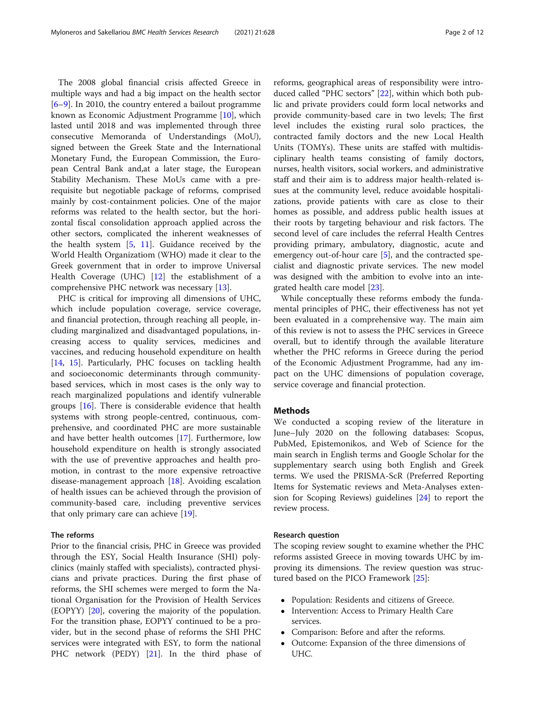The 2008 global financial crisis affected Greece in multiple ways and had a big impact on the health sector [[6](#page-9-0)–[9\]](#page-10-0). In 2010, the country entered a bailout programme known as Economic Adjustment Programme [[10\]](#page-10-0), which lasted until 2018 and was implemented through three consecutive Memoranda of Understandings (MoU), signed between the Greek State and the International Monetary Fund, the European Commission, the European Central Bank and,at a later stage, the European Stability Mechanism. These MoUs came with a prerequisite but negotiable package of reforms, comprised mainly by cost-containment policies. One of the major reforms was related to the health sector, but the horizontal fiscal consolidation approach applied across the other sectors, complicated the inherent weaknesses of the health system [[5](#page-9-0), [11](#page-10-0)]. Guidance received by the World Health Organizatiom (WHO) made it clear to the Greek government that in order to improve Universal Health Coverage (UHC) [\[12](#page-10-0)] the establishment of a comprehensive PHC network was necessary [[13\]](#page-10-0).

PHC is critical for improving all dimensions of UHC, which include population coverage, service coverage, and financial protection, through reaching all people, including marginalized and disadvantaged populations, increasing access to quality services, medicines and vaccines, and reducing household expenditure on health [[14,](#page-10-0) [15](#page-10-0)]. Particularly, PHC focuses on tackling health and socioeconomic determinants through communitybased services, which in most cases is the only way to reach marginalized populations and identify vulnerable groups [[16\]](#page-10-0). There is considerable evidence that health systems with strong people-centred, continuous, comprehensive, and coordinated PHC are more sustainable and have better health outcomes [[17](#page-10-0)]. Furthermore, low household expenditure on health is strongly associated with the use of preventive approaches and health promotion, in contrast to the more expensive retroactive disease-management approach [\[18](#page-10-0)]. Avoiding escalation of health issues can be achieved through the provision of community-based care, including preventive services that only primary care can achieve [\[19](#page-10-0)].

#### The reforms

Prior to the financial crisis, PHC in Greece was provided through the ESY, Social Health Insurance (SHI) polyclinics (mainly staffed with specialists), contracted physicians and private practices. During the first phase of reforms, the SHI schemes were merged to form the National Organisation for the Provision of Health Services (EOPYY) [\[20](#page-10-0)], covering the majority of the population. For the transition phase, EOPYY continued to be a provider, but in the second phase of reforms the SHI PHC services were integrated with ESY, to form the national PHC network (PEDY) [[21\]](#page-10-0). In the third phase of reforms, geographical areas of responsibility were introduced called "PHC sectors" [\[22](#page-10-0)], within which both public and private providers could form local networks and provide community-based care in two levels; The first level includes the existing rural solo practices, the contracted family doctors and the new Local Health Units (TOMYs). These units are staffed with multidisciplinary health teams consisting of family doctors, nurses, health visitors, social workers, and administrative staff and their aim is to address major health-related issues at the community level, reduce avoidable hospitalizations, provide patients with care as close to their homes as possible, and address public health issues at their roots by targeting behaviour and risk factors. The second level of care includes the referral Health Centres providing primary, ambulatory, diagnostic, acute and emergency out-of-hour care [[5\]](#page-9-0), and the contracted specialist and diagnostic private services. The new model was designed with the ambition to evolve into an integrated health care model [[23\]](#page-10-0).

While conceptually these reforms embody the fundamental principles of PHC, their effectiveness has not yet been evaluated in a comprehensive way. The main aim of this review is not to assess the PHC services in Greece overall, but to identify through the available literature whether the PHC reforms in Greece during the period of the Economic Adjustment Programme, had any impact on the UHC dimensions of population coverage, service coverage and financial protection.

#### **Methods**

We conducted a scoping review of the literature in June–July 2020 on the following databases: Scopus, PubMed, Epistemonikos, and Web of Science for the main search in English terms and Google Scholar for the supplementary search using both English and Greek terms. We used the PRISMA-ScR (Preferred Reporting Items for Systematic reviews and Meta-Analyses extension for Scoping Reviews) guidelines [[24](#page-10-0)] to report the review process.

#### Research question

The scoping review sought to examine whether the PHC reforms assisted Greece in moving towards UHC by improving its dimensions. The review question was structured based on the PICO Framework [\[25\]](#page-10-0):

- Population: Residents and citizens of Greece.<br>• Intervention: Access to Primary Health Care
- Intervention: Access to Primary Health Care services.
- Comparison: Before and after the reforms.
- Outcome: Expansion of the three dimensions of UHC.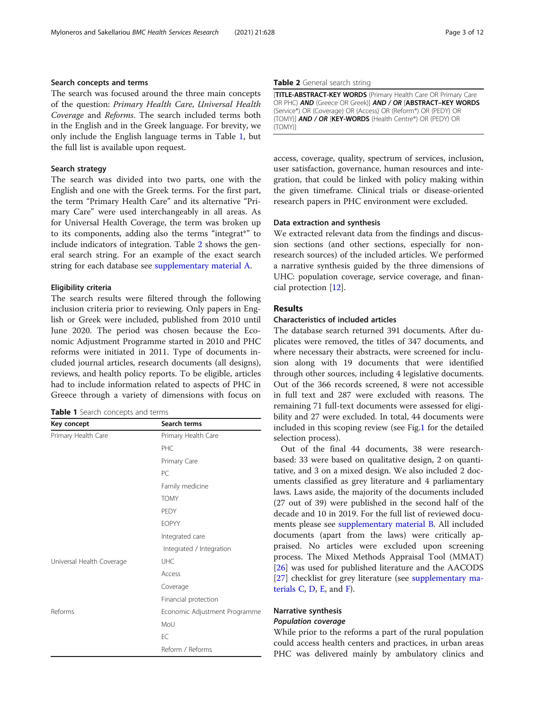#### Search concepts and terms

The search was focused around the three main concepts of the question: Primary Health Care, Universal Health Coverage and Reforms. The search included terms both in the English and in the Greek language. For brevity, we only include the English language terms in Table 1, but the full list is available upon request.

#### Search strategy

The search was divided into two parts, one with the English and one with the Greek terms. For the first part, the term "Primary Health Care" and its alternative "Primary Care" were used interchangeably in all areas. As for Universal Health Coverage, the term was broken up to its components, adding also the terms "integrat\*" to include indicators of integration. Table 2 shows the general search string. For an example of the exact search string for each database see [supplementary material A.](#page-9-0)

#### Eligibility criteria

The search results were filtered through the following inclusion criteria prior to reviewing. Only papers in English or Greek were included, published from 2010 until June 2020. The period was chosen because the Economic Adjustment Programme started in 2010 and PHC reforms were initiated in 2011. Type of documents included journal articles, research documents (all designs), reviews, and health policy reports. To be eligible, articles had to include information related to aspects of PHC in Greece through a variety of dimensions with focus on

#### Table 1 Search concepts and terms

| Key concept               | Search terms                  |
|---------------------------|-------------------------------|
| Primary Health Care       | Primary Health Care           |
|                           | PHC                           |
|                           | Primary Care                  |
|                           | PC.                           |
|                           | Family medicine               |
|                           | <b>TOMY</b>                   |
|                           | PEDY                          |
|                           | <b>EOPYY</b>                  |
|                           | Integrated care               |
|                           | Integrated / Integration      |
| Universal Health Coverage | UHC                           |
|                           | Access                        |
|                           | Coverage                      |
|                           | Financial protection          |
| Reforms                   | Economic Adjustment Programme |
|                           | MoU                           |
|                           | FC.                           |
|                           | Reform / Reforms              |

#### Table 2 General search string

| <b>TITLE-ABSTRACT-KEY WORDS</b> (Primary Health Care OR Primary Care |
|----------------------------------------------------------------------|
| OR PHC) AND (Greece OR Greek)] AND / OR [ABSTRACT-KEY WORDS          |
| (Service*) OR (Coverage) OR (Access) OR (Reform*) OR (PEDY) OR       |
| (TOMY)] <b>AND / OR [KEY-WORDS</b> (Health Centre*) OR (PEDY) OR     |
| <b>TOMY)1</b>                                                        |

access, coverage, quality, spectrum of services, inclusion, user satisfaction, governance, human resources and integration, that could be linked with policy making within the given timeframe. Clinical trials or disease-oriented research papers in PHC environment were excluded.

#### Data extraction and synthesis

We extracted relevant data from the findings and discussion sections (and other sections, especially for nonresearch sources) of the included articles. We performed a narrative synthesis guided by the three dimensions of UHC: population coverage, service coverage, and financial protection [[12\]](#page-10-0).

### Results

#### Characteristics of included articles

The database search returned 391 documents. After duplicates were removed, the titles of 347 documents, and where necessary their abstracts, were screened for inclusion along with 19 documents that were identified through other sources, including 4 legislative documents. Out of the 366 records screened, 8 were not accessible in full text and 287 were excluded with reasons. The remaining 71 full-text documents were assessed for eligibility and 27 were excluded. In total, 44 documents were included in this scoping review (see Fig[.1](#page-3-0) for the detailed selection process).

Out of the final 44 documents, 38 were researchbased: 33 were based on qualitative design, 2 on quantitative, and 3 on a mixed design. We also included 2 documents classified as grey literature and 4 parliamentary laws. Laws aside, the majority of the documents included (27 out of 39) were published in the second half of the decade and 10 in 2019. For the full list of reviewed documents please see [supplementary material B.](#page-9-0) All included documents (apart from the laws) were critically appraised. No articles were excluded upon screening process. The Mixed Methods Appraisal Tool (MMAT) [[26\]](#page-10-0) was used for published literature and the AACODS [[27\]](#page-10-0) checklist for grey literature (see [supplementary ma](#page-9-0)[terials C,](#page-9-0) [D](#page-9-0), [E,](#page-9-0) and [F\)](#page-9-0).

## Narrative synthesis

While prior to the reforms a part of the rural population could access health centers and practices, in urban areas PHC was delivered mainly by ambulatory clinics and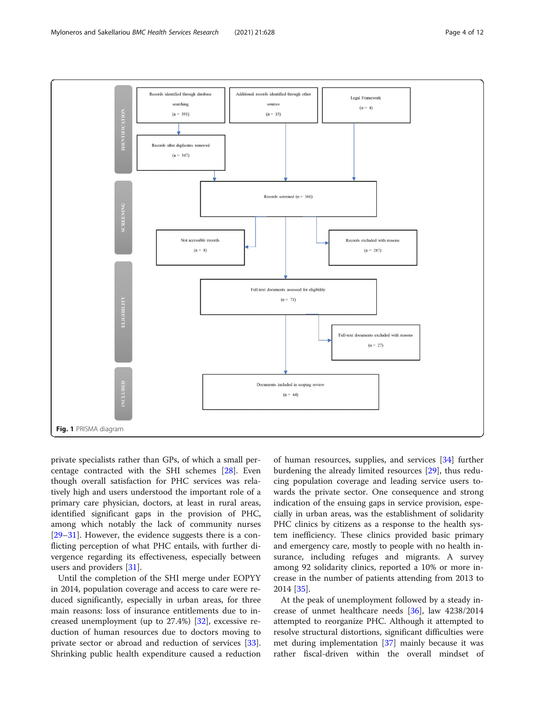<span id="page-3-0"></span>

private specialists rather than GPs, of which a small percentage contracted with the SHI schemes [[28\]](#page-10-0). Even though overall satisfaction for PHC services was relatively high and users understood the important role of a primary care physician, doctors, at least in rural areas, identified significant gaps in the provision of PHC, among which notably the lack of community nurses [[29](#page-10-0)–[31](#page-10-0)]. However, the evidence suggests there is a conflicting perception of what PHC entails, with further divergence regarding its effectiveness, especially between users and providers [[31\]](#page-10-0).

Until the completion of the SHI merge under EOPYY in 2014, population coverage and access to care were reduced significantly, especially in urban areas, for three main reasons: loss of insurance entitlements due to increased unemployment (up to 27.4%) [\[32](#page-10-0)], excessive reduction of human resources due to doctors moving to private sector or abroad and reduction of services [\[33](#page-10-0)]. Shrinking public health expenditure caused a reduction

of human resources, supplies, and services [[34\]](#page-10-0) further burdening the already limited resources [[29](#page-10-0)], thus reducing population coverage and leading service users towards the private sector. One consequence and strong indication of the ensuing gaps in service provision, especially in urban areas, was the establishment of solidarity PHC clinics by citizens as a response to the health system inefficiency. These clinics provided basic primary and emergency care, mostly to people with no health insurance, including refuges and migrants. A survey among 92 solidarity clinics, reported a 10% or more increase in the number of patients attending from 2013 to 2014 [\[35](#page-10-0)].

At the peak of unemployment followed by a steady increase of unmet healthcare needs [\[36\]](#page-10-0), law 4238/2014 attempted to reorganize PHC. Although it attempted to resolve structural distortions, significant difficulties were met during implementation [\[37](#page-10-0)] mainly because it was rather fiscal-driven within the overall mindset of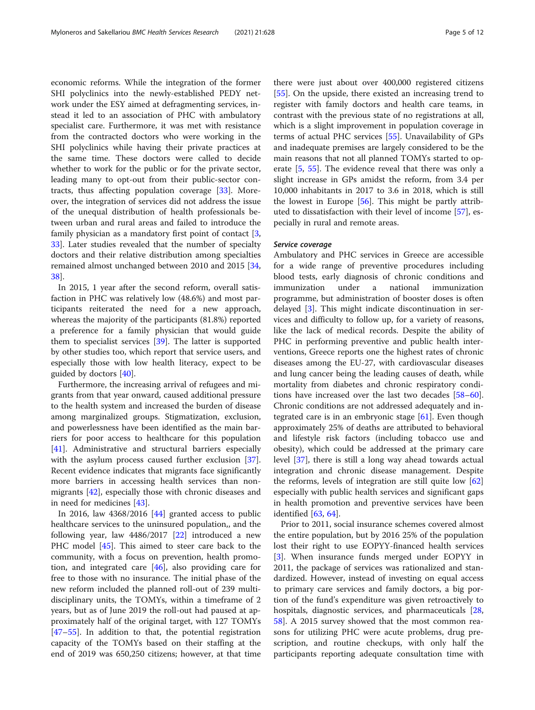economic reforms. While the integration of the former SHI polyclinics into the newly-established PEDY network under the ESY aimed at defragmenting services, instead it led to an association of PHC with ambulatory specialist care. Furthermore, it was met with resistance from the contracted doctors who were working in the SHI polyclinics while having their private practices at the same time. These doctors were called to decide whether to work for the public or for the private sector, leading many to opt-out from their public-sector contracts, thus affecting population coverage [\[33\]](#page-10-0). Moreover, the integration of services did not address the issue of the unequal distribution of health professionals between urban and rural areas and failed to introduce the family physician as a mandatory first point of contact [\[3](#page-9-0), [33\]](#page-10-0). Later studies revealed that the number of specialty doctors and their relative distribution among specialties remained almost unchanged between 2010 and 2015 [[34](#page-10-0), [38\]](#page-10-0).

In 2015, 1 year after the second reform, overall satisfaction in PHC was relatively low (48.6%) and most participants reiterated the need for a new approach, whereas the majority of the participants (81.8%) reported a preference for a family physician that would guide them to specialist services [[39\]](#page-10-0). The latter is supported by other studies too, which report that service users, and especially those with low health literacy, expect to be guided by doctors [\[40\]](#page-10-0).

Furthermore, the increasing arrival of refugees and migrants from that year onward, caused additional pressure to the health system and increased the burden of disease among marginalized groups. Stigmatization, exclusion, and powerlessness have been identified as the main barriers for poor access to healthcare for this population [[41\]](#page-10-0). Administrative and structural barriers especially with the asylum process caused further exclusion [\[37](#page-10-0)]. Recent evidence indicates that migrants face significantly more barriers in accessing health services than nonmigrants [\[42\]](#page-10-0), especially those with chronic diseases and in need for medicines [[43](#page-10-0)].

In 2016, law 4368/2016 [\[44](#page-10-0)] granted access to public healthcare services to the uninsured population,, and the following year, law 4486/2017 [\[22](#page-10-0)] introduced a new PHC model [[45](#page-10-0)]. This aimed to steer care back to the community, with a focus on prevention, health promotion, and integrated care [[46](#page-10-0)], also providing care for free to those with no insurance. The initial phase of the new reform included the planned roll-out of 239 multidisciplinary units, the TOMYs, within a timeframe of 2 years, but as of June 2019 the roll-out had paused at approximately half of the original target, with 127 TOMYs [[47](#page-10-0)–[55](#page-10-0)]. In addition to that, the potential registration capacity of the TOMYs based on their staffing at the end of 2019 was 650,250 citizens; however, at that time

there were just about over 400,000 registered citizens [[55\]](#page-10-0). On the upside, there existed an increasing trend to register with family doctors and health care teams, in contrast with the previous state of no registrations at all, which is a slight improvement in population coverage in terms of actual PHC services [\[55](#page-10-0)]. Unavailability of GPs and inadequate premises are largely considered to be the main reasons that not all planned TOMYs started to operate [[5,](#page-9-0) [55\]](#page-10-0). The evidence reveal that there was only a slight increase in GPs amidst the reform, from 3.4 per 10,000 inhabitants in 2017 to 3.6 in 2018, which is still the lowest in Europe [\[56\]](#page-11-0). This might be partly attributed to dissatisfaction with their level of income [[57\]](#page-11-0), especially in rural and remote areas.

Ambulatory and PHC services in Greece are accessible for a wide range of preventive procedures including blood tests, early diagnosis of chronic conditions and immunization under a national immunization programme, but administration of booster doses is often delayed [[3](#page-9-0)]. This might indicate discontinuation in services and difficulty to follow up, for a variety of reasons, like the lack of medical records. Despite the ability of PHC in performing preventive and public health interventions, Greece reports one the highest rates of chronic diseases among the EU-27, with cardiovascular diseases and lung cancer being the leading causes of death, while mortality from diabetes and chronic respiratory conditions have increased over the last two decades [[58](#page-11-0)–[60](#page-11-0)]. Chronic conditions are not addressed adequately and integrated care is in an embryonic stage  $[61]$  $[61]$ . Even though approximately 25% of deaths are attributed to behavioral and lifestyle risk factors (including tobacco use and obesity), which could be addressed at the primary care level [[37\]](#page-10-0), there is still a long way ahead towards actual integration and chronic disease management. Despite the reforms, levels of integration are still quite low [[62](#page-11-0)] especially with public health services and significant gaps in health promotion and preventive services have been identified [\[63,](#page-11-0) [64\]](#page-11-0).

Prior to 2011, social insurance schemes covered almost the entire population, but by 2016 25% of the population lost their right to use EOPYY-financed health services [[3\]](#page-9-0). When insurance funds merged under EOPYY in 2011, the package of services was rationalized and standardized. However, instead of investing on equal access to primary care services and family doctors, a big portion of the fund's expenditure was given retroactively to hospitals, diagnostic services, and pharmaceuticals [[28](#page-10-0), [58\]](#page-11-0). A 2015 survey showed that the most common reasons for utilizing PHC were acute problems, drug prescription, and routine checkups, with only half the participants reporting adequate consultation time with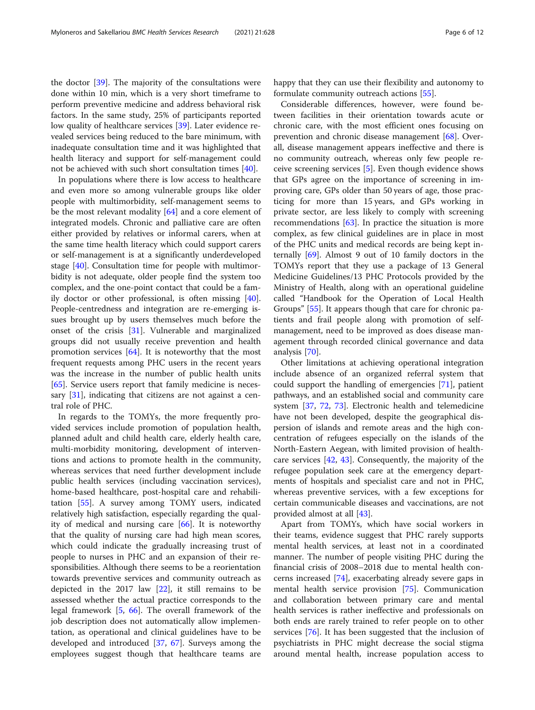the doctor [\[39](#page-10-0)]. The majority of the consultations were done within 10 min, which is a very short timeframe to perform preventive medicine and address behavioral risk factors. In the same study, 25% of participants reported low quality of healthcare services [\[39](#page-10-0)]. Later evidence revealed services being reduced to the bare minimum, with inadequate consultation time and it was highlighted that health literacy and support for self-management could not be achieved with such short consultation times [\[40\]](#page-10-0).

In populations where there is low access to healthcare and even more so among vulnerable groups like older people with multimorbidity, self-management seems to be the most relevant modality [\[64](#page-11-0)] and a core element of integrated models. Chronic and palliative care are often either provided by relatives or informal carers, when at the same time health literacy which could support carers or self-management is at a significantly underdeveloped stage [[40\]](#page-10-0). Consultation time for people with multimorbidity is not adequate, older people find the system too complex, and the one-point contact that could be a family doctor or other professional, is often missing [\[40](#page-10-0)]. People-centredness and integration are re-emerging issues brought up by users themselves much before the onset of the crisis [\[31](#page-10-0)]. Vulnerable and marginalized groups did not usually receive prevention and health promotion services [[64\]](#page-11-0). It is noteworthy that the most frequent requests among PHC users in the recent years was the increase in the number of public health units [[65\]](#page-11-0). Service users report that family medicine is neces-sary [\[31\]](#page-10-0), indicating that citizens are not against a central role of PHC.

In regards to the TOMYs, the more frequently provided services include promotion of population health, planned adult and child health care, elderly health care, multi-morbidity monitoring, development of interventions and actions to promote health in the community, whereas services that need further development include public health services (including vaccination services), home-based healthcare, post-hospital care and rehabilitation [[55](#page-10-0)]. A survey among TOMY users, indicated relatively high satisfaction, especially regarding the quality of medical and nursing care  $[66]$  $[66]$ . It is noteworthy that the quality of nursing care had high mean scores, which could indicate the gradually increasing trust of people to nurses in PHC and an expansion of their responsibilities. Although there seems to be a reorientation towards preventive services and community outreach as depicted in the 2017 law [[22\]](#page-10-0), it still remains to be assessed whether the actual practice corresponds to the legal framework [[5,](#page-9-0) [66](#page-11-0)]. The overall framework of the job description does not automatically allow implementation, as operational and clinical guidelines have to be developed and introduced [[37,](#page-10-0) [67](#page-11-0)]. Surveys among the employees suggest though that healthcare teams are happy that they can use their flexibility and autonomy to formulate community outreach actions [[55\]](#page-10-0).

Considerable differences, however, were found between facilities in their orientation towards acute or chronic care, with the most efficient ones focusing on prevention and chronic disease management [\[68\]](#page-11-0). Overall, disease management appears ineffective and there is no community outreach, whereas only few people receive screening services [\[5](#page-9-0)]. Even though evidence shows that GPs agree on the importance of screening in improving care, GPs older than 50 years of age, those practicing for more than 15 years, and GPs working in private sector, are less likely to comply with screening recommendations [[63\]](#page-11-0). In practice the situation is more complex, as few clinical guidelines are in place in most of the PHC units and medical records are being kept internally [[69\]](#page-11-0). Almost 9 out of 10 family doctors in the TOMYs report that they use a package of 13 General Medicine Guidelines/13 PHC Protocols provided by the Ministry of Health, along with an operational guideline called "Handbook for the Operation of Local Health Groups" [[55\]](#page-10-0). It appears though that care for chronic patients and frail people along with promotion of selfmanagement, need to be improved as does disease management through recorded clinical governance and data analysis [\[70\]](#page-11-0).

Other limitations at achieving operational integration include absence of an organized referral system that could support the handling of emergencies [\[71](#page-11-0)], patient pathways, and an established social and community care system [\[37,](#page-10-0) [72](#page-11-0), [73\]](#page-11-0). Electronic health and telemedicine have not been developed, despite the geographical dispersion of islands and remote areas and the high concentration of refugees especially on the islands of the North-Eastern Aegean, with limited provision of healthcare services [[42](#page-10-0), [43](#page-10-0)]. Consequently, the majority of the refugee population seek care at the emergency departments of hospitals and specialist care and not in PHC, whereas preventive services, with a few exceptions for certain communicable diseases and vaccinations, are not provided almost at all [[43\]](#page-10-0).

Apart from TOMYs, which have social workers in their teams, evidence suggest that PHC rarely supports mental health services, at least not in a coordinated manner. The number of people visiting PHC during the financial crisis of 2008–2018 due to mental health concerns increased [[74](#page-11-0)], exacerbating already severe gaps in mental health service provision [[75\]](#page-11-0). Communication and collaboration between primary care and mental health services is rather ineffective and professionals on both ends are rarely trained to refer people on to other services [[76\]](#page-11-0). It has been suggested that the inclusion of psychiatrists in PHC might decrease the social stigma around mental health, increase population access to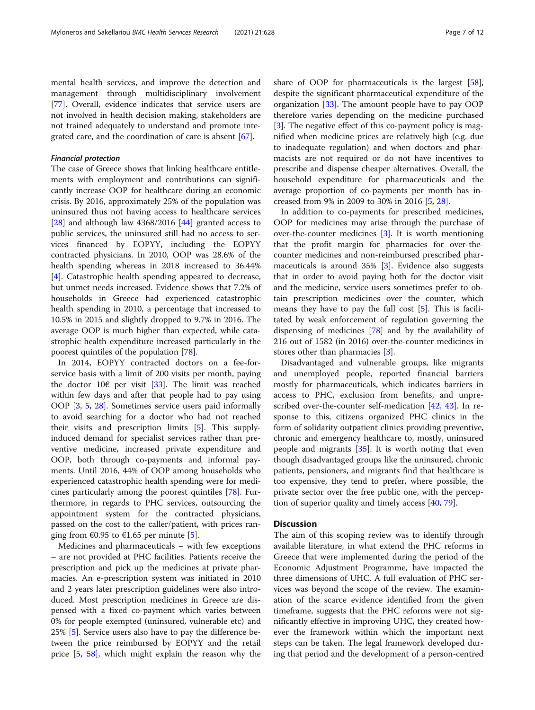mental health services, and improve the detection and management through multidisciplinary involvement [[77\]](#page-11-0). Overall, evidence indicates that service users are not involved in health decision making, stakeholders are not trained adequately to understand and promote integrated care, and the coordination of care is absent [\[67](#page-11-0)].

The case of Greece shows that linking healthcare entitlements with employment and contributions can significantly increase OOP for healthcare during an economic crisis. By 2016, approximately 25% of the population was uninsured thus not having access to healthcare services [ $28$ ] and although law 4368/2016 [ $44$ ] granted access to public services, the uninsured still had no access to services financed by EOPYY, including the EOPYY contracted physicians. In 2010, OOP was 28.6% of the health spending whereas in 2018 increased to 36.44% [[4\]](#page-9-0). Catastrophic health spending appeared to decrease, but unmet needs increased. Evidence shows that 7.2% of households in Greece had experienced catastrophic health spending in 2010, a percentage that increased to 10.5% in 2015 and slightly dropped to 9.7% in 2016. The average OOP is much higher than expected, while catastrophic health expenditure increased particularly in the poorest quintiles of the population [[78\]](#page-11-0).

In 2014, EOPYY contracted doctors on a fee-forservice basis with a limit of 200 visits per month, paying the doctor 10€ per visit [\[33](#page-10-0)]. The limit was reached within few days and after that people had to pay using OOP [\[3](#page-9-0), [5,](#page-9-0) [28](#page-10-0)]. Sometimes service users paid informally to avoid searching for a doctor who had not reached their visits and prescription limits [[5\]](#page-9-0). This supplyinduced demand for specialist services rather than preventive medicine, increased private expenditure and OOP, both through co-payments and informal payments. Until 2016, 44% of OOP among households who experienced catastrophic health spending were for medicines particularly among the poorest quintiles [\[78\]](#page-11-0). Furthermore, in regards to PHC services, outsourcing the appointment system for the contracted physicians, passed on the cost to the caller/patient, with prices ran-ging from €0.95 to €1.65 per minute [[5\]](#page-9-0).

Medicines and pharmaceuticals – with few exceptions – are not provided at PHC facilities. Patients receive the prescription and pick up the medicines at private pharmacies. An e-prescription system was initiated in 2010 and 2 years later prescription guidelines were also introduced. Most prescription medicines in Greece are dispensed with a fixed co-payment which varies between 0% for people exempted (uninsured, vulnerable etc) and 25% [[5\]](#page-9-0). Service users also have to pay the difference between the price reimbursed by EOPYY and the retail price [[5,](#page-9-0) [58](#page-11-0)], which might explain the reason why the share of OOP for pharmaceuticals is the largest [\[58](#page-11-0)], despite the significant pharmaceutical expenditure of the organization  $[33]$  $[33]$ . The amount people have to pay OOP therefore varies depending on the medicine purchased [[3\]](#page-9-0). The negative effect of this co-payment policy is magnified when medicine prices are relatively high (e.g. due to inadequate regulation) and when doctors and pharmacists are not required or do not have incentives to prescribe and dispense cheaper alternatives. Overall, the household expenditure for pharmaceuticals and the average proportion of co-payments per month has increased from 9% in 2009 to 30% in 2016 [\[5](#page-9-0), [28](#page-10-0)].

In addition to co-payments for prescribed medicines, OOP for medicines may arise through the purchase of over-the-counter medicines [[3\]](#page-9-0). It is worth mentioning that the profit margin for pharmacies for over-thecounter medicines and non-reimbursed prescribed pharmaceuticals is around 35% [[3](#page-9-0)]. Evidence also suggests that in order to avoid paying both for the doctor visit and the medicine, service users sometimes prefer to obtain prescription medicines over the counter, which means they have to pay the full cost [\[5](#page-9-0)]. This is facilitated by weak enforcement of regulation governing the dispensing of medicines [[78\]](#page-11-0) and by the availability of 216 out of 1582 (in 2016) over-the-counter medicines in stores other than pharmacies [[3\]](#page-9-0).

Disadvantaged and vulnerable groups, like migrants and unemployed people, reported financial barriers mostly for pharmaceuticals, which indicates barriers in access to PHC, exclusion from benefits, and unprescribed over-the-counter self-medication [\[42,](#page-10-0) [43](#page-10-0)]. In response to this, citizens organized PHC clinics in the form of solidarity outpatient clinics providing preventive, chronic and emergency healthcare to, mostly, uninsured people and migrants [[35\]](#page-10-0). It is worth noting that even though disadvantaged groups like the uninsured, chronic patients, pensioners, and migrants find that healthcare is too expensive, they tend to prefer, where possible, the private sector over the free public one, with the perception of superior quality and timely access [[40](#page-10-0), [79](#page-11-0)].

#### **Discussion**

The aim of this scoping review was to identify through available literature, in what extend the PHC reforms in Greece that were implemented during the period of the Economic Adjustment Programme, have impacted the three dimensions of UHC. A full evaluation of PHC services was beyond the scope of the review. The examination of the scarce evidence identified from the given timeframe, suggests that the PHC reforms were not significantly effective in improving UHC, they created however the framework within which the important next steps can be taken. The legal framework developed during that period and the development of a person-centred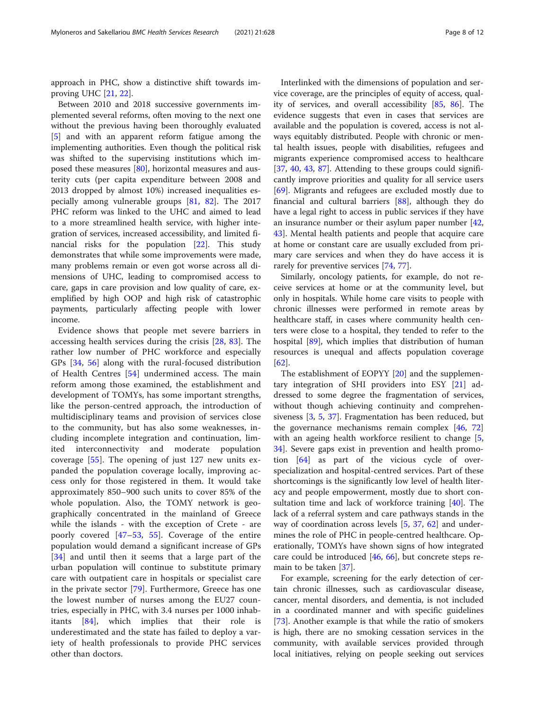approach in PHC, show a distinctive shift towards improving UHC [\[21](#page-10-0), [22](#page-10-0)].

Between 2010 and 2018 successive governments implemented several reforms, often moving to the next one without the previous having been thoroughly evaluated [[5\]](#page-9-0) and with an apparent reform fatigue among the implementing authorities. Even though the political risk was shifted to the supervising institutions which imposed these measures [[80](#page-11-0)], horizontal measures and austerity cuts (per capita expenditure between 2008 and 2013 dropped by almost 10%) increased inequalities especially among vulnerable groups [[81,](#page-11-0) [82](#page-11-0)]. The 2017 PHC reform was linked to the UHC and aimed to lead to a more streamlined health service, with higher integration of services, increased accessibility, and limited financial risks for the population [\[22](#page-10-0)]. This study demonstrates that while some improvements were made, many problems remain or even got worse across all dimensions of UHC, leading to compromised access to care, gaps in care provision and low quality of care, exemplified by high OOP and high risk of catastrophic payments, particularly affecting people with lower income.

Evidence shows that people met severe barriers in accessing health services during the crisis [\[28](#page-10-0), [83](#page-11-0)]. The rather low number of PHC workforce and especially GPs [[34](#page-10-0), [56\]](#page-11-0) along with the rural-focused distribution of Health Centres [\[54](#page-10-0)] undermined access. The main reform among those examined, the establishment and development of TOMYs, has some important strengths, like the person-centred approach, the introduction of multidisciplinary teams and provision of services close to the community, but has also some weaknesses, including incomplete integration and continuation, limited interconnectivity and moderate population coverage [[55\]](#page-10-0). The opening of just 127 new units expanded the population coverage locally, improving access only for those registered in them. It would take approximately 850–900 such units to cover 85% of the whole population. Also, the TOMY network is geographically concentrated in the mainland of Greece while the islands - with the exception of Crete - are poorly covered [\[47](#page-10-0)–[53](#page-10-0), [55\]](#page-10-0). Coverage of the entire population would demand a significant increase of GPs [[34\]](#page-10-0) and until then it seems that a large part of the urban population will continue to substitute primary care with outpatient care in hospitals or specialist care in the private sector [\[79](#page-11-0)]. Furthermore, Greece has one the lowest number of nurses among the EU27 countries, especially in PHC, with 3.4 nurses per 1000 inhabitants [\[84](#page-11-0)], which implies that their role is underestimated and the state has failed to deploy a variety of health professionals to provide PHC services other than doctors.

Interlinked with the dimensions of population and service coverage, are the principles of equity of access, quality of services, and overall accessibility [[85,](#page-11-0) [86](#page-11-0)]. The evidence suggests that even in cases that services are available and the population is covered, access is not always equitably distributed. People with chronic or mental health issues, people with disabilities, refugees and migrants experience compromised access to healthcare [[37,](#page-10-0) [40](#page-10-0), [43](#page-10-0), [87\]](#page-11-0). Attending to these groups could significantly improve priorities and quality for all service users [[69\]](#page-11-0). Migrants and refugees are excluded mostly due to financial and cultural barriers [[88\]](#page-11-0), although they do have a legal right to access in public services if they have an insurance number or their asylum paper number [[42](#page-10-0), [43\]](#page-10-0). Mental health patients and people that acquire care at home or constant care are usually excluded from primary care services and when they do have access it is rarely for preventive services [\[74,](#page-11-0) [77\]](#page-11-0).

Similarly, oncology patients, for example, do not receive services at home or at the community level, but only in hospitals. While home care visits to people with chronic illnesses were performed in remote areas by healthcare staff, in cases where community health centers were close to a hospital, they tended to refer to the hospital [\[89](#page-11-0)], which implies that distribution of human resources is unequal and affects population coverage [[62\]](#page-11-0).

The establishment of EOPYY [\[20\]](#page-10-0) and the supplementary integration of SHI providers into ESY [\[21](#page-10-0)] addressed to some degree the fragmentation of services, without though achieving continuity and comprehensiveness [[3,](#page-9-0) [5](#page-9-0), [37\]](#page-10-0). Fragmentation has been reduced, but the governance mechanisms remain complex [\[46](#page-10-0), [72](#page-11-0)] with an ageing health workforce resilient to change [\[5](#page-9-0), [34\]](#page-10-0). Severe gaps exist in prevention and health promotion [[64\]](#page-11-0) as part of the vicious cycle of overspecialization and hospital-centred services. Part of these shortcomings is the significantly low level of health literacy and people empowerment, mostly due to short consultation time and lack of workforce training [\[40\]](#page-10-0). The lack of a referral system and care pathways stands in the way of coordination across levels [\[5](#page-9-0), [37,](#page-10-0) [62](#page-11-0)] and undermines the role of PHC in people-centred healthcare. Operationally, TOMYs have shown signs of how integrated care could be introduced [\[46](#page-10-0), [66\]](#page-11-0), but concrete steps remain to be taken [\[37](#page-10-0)].

For example, screening for the early detection of certain chronic illnesses, such as cardiovascular disease, cancer, mental disorders, and dementia, is not included in a coordinated manner and with specific guidelines [[73\]](#page-11-0). Another example is that while the ratio of smokers is high, there are no smoking cessation services in the community, with available services provided through local initiatives, relying on people seeking out services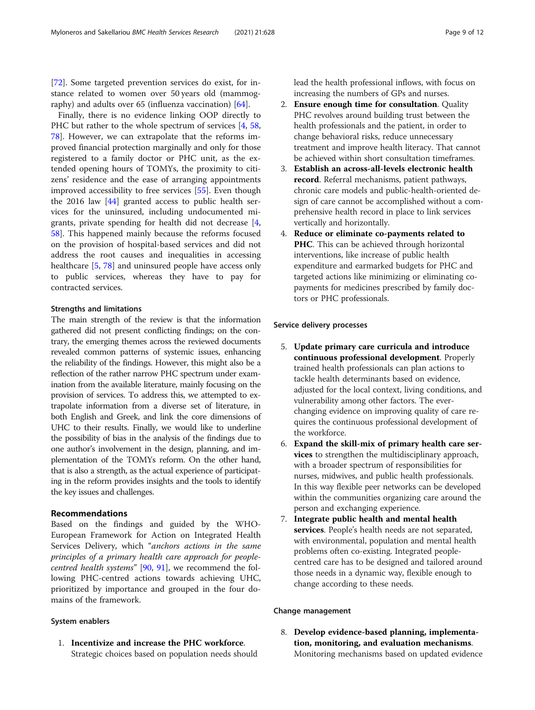[[72\]](#page-11-0). Some targeted prevention services do exist, for instance related to women over 50 years old (mammography) and adults over 65 (influenza vaccination) [[64](#page-11-0)].

Finally, there is no evidence linking OOP directly to PHC but rather to the whole spectrum of services [\[4](#page-9-0), [58](#page-11-0), [78\]](#page-11-0). However, we can extrapolate that the reforms improved financial protection marginally and only for those registered to a family doctor or PHC unit, as the extended opening hours of TOMYs, the proximity to citizens' residence and the ease of arranging appointments improved accessibility to free services [[55](#page-10-0)]. Even though the 2016 law [[44\]](#page-10-0) granted access to public health services for the uninsured, including undocumented migrants, private spending for health did not decrease [\[4](#page-9-0), [58\]](#page-11-0). This happened mainly because the reforms focused on the provision of hospital-based services and did not address the root causes and inequalities in accessing healthcare [[5,](#page-9-0) [78\]](#page-11-0) and uninsured people have access only to public services, whereas they have to pay for contracted services.

#### Strengths and limitations

The main strength of the review is that the information gathered did not present conflicting findings; on the contrary, the emerging themes across the reviewed documents revealed common patterns of systemic issues, enhancing the reliability of the findings. However, this might also be a reflection of the rather narrow PHC spectrum under examination from the available literature, mainly focusing on the provision of services. To address this, we attempted to extrapolate information from a diverse set of literature, in both English and Greek, and link the core dimensions of UHC to their results. Finally, we would like to underline the possibility of bias in the analysis of the findings due to one author's involvement in the design, planning, and implementation of the TOMYs reform. On the other hand, that is also a strength, as the actual experience of participating in the reform provides insights and the tools to identify the key issues and challenges.

#### Recommendations

Based on the findings and guided by the WHO-European Framework for Action on Integrated Health Services Delivery, which "anchors actions in the same principles of a primary health care approach for people*centred health systems*"  $[90, 91]$  $[90, 91]$  $[90, 91]$  $[90, 91]$ , we recommend the following PHC-centred actions towards achieving UHC, prioritized by importance and grouped in the four domains of the framework.

#### System enablers

1. Incentivize and increase the PHC workforce. Strategic choices based on population needs should

lead the health professional inflows, with focus on increasing the numbers of GPs and nurses.

- 2. Ensure enough time for consultation. Quality PHC revolves around building trust between the health professionals and the patient, in order to change behavioral risks, reduce unnecessary treatment and improve health literacy. That cannot be achieved within short consultation timeframes.
- 3. Establish an across-all-levels electronic health record. Referral mechanisms, patient pathways, chronic care models and public-health-oriented design of care cannot be accomplished without a comprehensive health record in place to link services vertically and horizontally.
- 4. Reduce or eliminate co-payments related to PHC. This can be achieved through horizontal interventions, like increase of public health expenditure and earmarked budgets for PHC and targeted actions like minimizing or eliminating copayments for medicines prescribed by family doctors or PHC professionals.

#### Service delivery processes

- 5. Update primary care curricula and introduce continuous professional development. Properly trained health professionals can plan actions to tackle health determinants based on evidence, adjusted for the local context, living conditions, and vulnerability among other factors. The everchanging evidence on improving quality of care requires the continuous professional development of the workforce.
- 6. Expand the skill-mix of primary health care services to strengthen the multidisciplinary approach, with a broader spectrum of responsibilities for nurses, midwives, and public health professionals. In this way flexible peer networks can be developed within the communities organizing care around the person and exchanging experience.
- 7. Integrate public health and mental health services. People's health needs are not separated, with environmental, population and mental health problems often co-existing. Integrated peoplecentred care has to be designed and tailored around those needs in a dynamic way, flexible enough to change according to these needs.

#### Change management

8. Develop evidence-based planning, implementation, monitoring, and evaluation mechanisms. Monitoring mechanisms based on updated evidence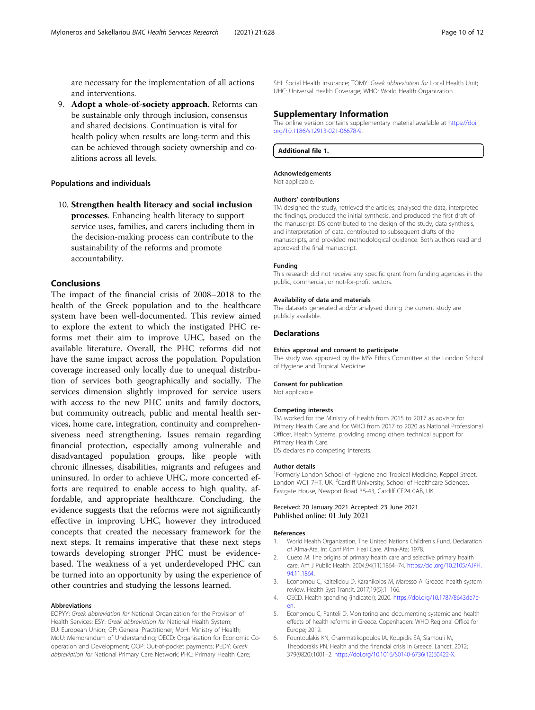<span id="page-9-0"></span>are necessary for the implementation of all actions and interventions.

9. Adopt a whole-of-society approach. Reforms can be sustainable only through inclusion, consensus and shared decisions. Continuation is vital for health policy when results are long-term and this can be achieved through society ownership and coalitions across all levels.

#### Populations and individuals

10. Strengthen health literacy and social inclusion processes. Enhancing health literacy to support service uses, families, and carers including them in the decision-making process can contribute to the sustainability of the reforms and promote accountability.

#### Conclusions

The impact of the financial crisis of 2008–2018 to the health of the Greek population and to the healthcare system have been well-documented. This review aimed to explore the extent to which the instigated PHC reforms met their aim to improve UHC, based on the available literature. Overall, the PHC reforms did not have the same impact across the population. Population coverage increased only locally due to unequal distribution of services both geographically and socially. The services dimension slightly improved for service users with access to the new PHC units and family doctors, but community outreach, public and mental health services, home care, integration, continuity and comprehensiveness need strengthening. Issues remain regarding financial protection, especially among vulnerable and disadvantaged population groups, like people with chronic illnesses, disabilities, migrants and refugees and uninsured. In order to achieve UHC, more concerted efforts are required to enable access to high quality, affordable, and appropriate healthcare. Concluding, the evidence suggests that the reforms were not significantly effective in improving UHC, however they introduced concepts that created the necessary framework for the next steps. It remains imperative that these next steps towards developing stronger PHC must be evidencebased. The weakness of a yet underdeveloped PHC can be turned into an opportunity by using the experience of other countries and studying the lessons learned.

#### Abbreviations

EOPYY: Greek abbreviation for National Organization for the Provision of Health Services; ESY: Greek abbreviation for National Health System; EU: European Union; GP: General Practitioner; MoH: Ministry of Health; MoU: Memorandum of Understanding; OECD: Organisation for Economic Cooperation and Development; OOP: Out-of-pocket payments; PEDY: Greek abbreviation for National Primary Care Network; PHC: Primary Health Care;

SHI: Social Health Insurance; TOMY: Greek abbreviation for Local Health Unit; UHC: Universal Health Coverage; WHO: World Health Organization

#### Supplementary Information

The online version contains supplementary material available at [https://doi.](https://doi.org/10.1186/s12913-021-06678-9) [org/10.1186/s12913-021-06678-9.](https://doi.org/10.1186/s12913-021-06678-9)

Additional file 1.

#### Acknowledgements

Not applicable.

#### Authors' contributions

TM designed the study, retrieved the articles, analysed the data, interpreted the findings, produced the initial synthesis, and produced the first draft of the manuscript. DS contributed to the design of the study, data synthesis, and interpretation of data, contributed to subsequent drafts of the manuscripts, and provided methodological guidance. Both authors read and approved the final manuscript.

#### Funding

This research did not receive any specific grant from funding agencies in the public, commercial, or not-for-profit sectors.

#### Availability of data and materials

The datasets generated and/or analysed during the current study are publicly available.

#### Declarations

#### Ethics approval and consent to participate

The study was approved by the MSs Ethics Committee at the London School of Hygiene and Tropical Medicine.

#### Consent for publication

Not applicable.

#### Competing interests

TM worked for the Ministry of Health from 2015 to 2017 as advisor for Primary Health Care and for WHO from 2017 to 2020 as National Professional Officer, Health Systems, providing among others technical support for Primary Health Care.

DS declares no competing interests.

#### Author details

<sup>1</sup> Formerly London School of Hygiene and Tropical Medicine, Keppel Street, London WC1 7HT, UK. <sup>2</sup>Cardiff University, School of Healthcare Sciences, Eastgate House, Newport Road 35-43, Cardiff CF24 0AB, UK.

#### Received: 20 January 2021 Accepted: 23 June 2021 Published online: 01 July 2021

#### References

- 1. World Health Organization, The United Nations Children's Fund. Declaration of Alma-Ata. Int Conf Prim Heal Care. Alma-Ata; 1978.
- 2. Cueto M. The origins of primary health care and selective primary health care. Am J Public Health. 2004;94(11):1864–74. [https://doi.org/10.2105/AJPH.](https://doi.org/10.2105/AJPH.94.11.1864) [94.11.1864](https://doi.org/10.2105/AJPH.94.11.1864).
- 3. Economou C, Kaitelidou D, Karanikolos M, Maresso A. Greece: health system review. Health Syst Transit. 2017;19(5):1–166.
- 4. OECD. Health spending (indicator); 2020. [https://doi.org/10.1787/8643de7e](https://doi.org/10.1787/8643de7e-en)[en.](https://doi.org/10.1787/8643de7e-en)
- 5. Economou C, Panteli D. Monitoring and documenting systemic and health effects of health reforms in Greece. Copenhagen: WHO Regional Office for Europe; 2019.
- 6. Fountoulakis KN, Grammatikopoulos IA, Koupidis SA, Siamouli M, Theodorakis PN. Health and the financial crisis in Greece. Lancet. 2012; 379(9820):1001–2. [https://doi.org/10.1016/S0140-6736\(12\)60422-X.](https://doi.org/10.1016/S0140-6736(12)60422-X)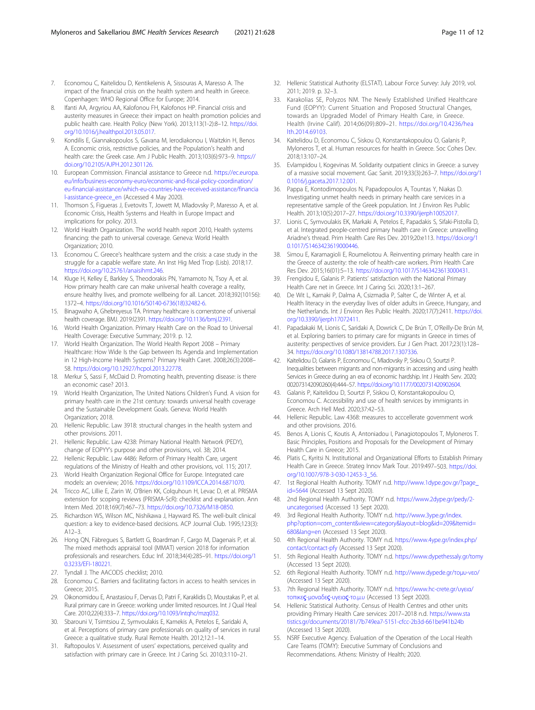- <span id="page-10-0"></span>7. Economou C, Kaitelidou D, Kentikelenis A, Sissouras A, Maresso A. The impact of the financial crisis on the health system and health in Greece. Copenhagen: WHO Regional Office for Europe; 2014.
- Ifanti AA, Argyriou AA, Kalofonou FH, Kalofonos HP. Financial crisis and austerity measures in Greece: their impact on health promotion policies and public health care. Health Policy (New York). 2013;113(1-2):8–12. [https://doi.](https://doi.org/10.1016/j.healthpol.2013.05.017) [org/10.1016/j.healthpol.2013.05.017.](https://doi.org/10.1016/j.healthpol.2013.05.017)
- 9. Kondilis E, Giannakopoulos S, Gavana M, Ierodiakonou I, Waitzkin H, Benos A. Economic crisis, restrictive policies, and the Population's health and health care: the Greek case. Am J Public Health. 2013;103(6):973–9. [https://](https://doi.org/10.2105/AJPH.2012.301126) [doi.org/10.2105/AJPH.2012.301126](https://doi.org/10.2105/AJPH.2012.301126).
- 10. European Commission. Financial assistance to Greece n.d. [https://ec.europa.](https://ec.europa.eu/info/business-economy-euro/economic-and-fiscal-policy-coordination/eu-financial-assistance/which-eu-countries-have-received-assistance/financial-assistance-greece_en) [eu/info/business-economy-euro/economic-and-fiscal-policy-coordination/](https://ec.europa.eu/info/business-economy-euro/economic-and-fiscal-policy-coordination/eu-financial-assistance/which-eu-countries-have-received-assistance/financial-assistance-greece_en) [eu-financial-assistance/which-eu-countries-have-received-assistance/financia](https://ec.europa.eu/info/business-economy-euro/economic-and-fiscal-policy-coordination/eu-financial-assistance/which-eu-countries-have-received-assistance/financial-assistance-greece_en) [l-assistance-greece\\_en](https://ec.europa.eu/info/business-economy-euro/economic-and-fiscal-policy-coordination/eu-financial-assistance/which-eu-countries-have-received-assistance/financial-assistance-greece_en) (Accessed 4 May 2020).
- 11. Thomson S, Figueras J, Evetovits T, Jowett M, Mladovsky P, Maresso A, et al. Economic Crisis, Health Systems and Health in Europe Impact and implications for policy. 2013.
- 12. World Health Organization. The world health report 2010, Health systems financing: the path to universal coverage. Geneva: World Health Organization; 2010.
- 13. Economou C. Greece's healthcare system and the crisis: a case study in the struggle for a capable welfare state. An Inst Hig Med Trop (Lisb). 2018;17. <https://doi.org/10.25761/anaisihmt.246>.
- 14. Kluge H, Kelley E, Barkley S, Theodorakis PN, Yamamoto N, Tsoy A, et al. How primary health care can make universal health coverage a reality, ensure healthy lives, and promote wellbeing for all. Lancet. 2018;392(10156): 1372–4. [https://doi.org/10.1016/S0140-6736\(18\)32482-6.](https://doi.org/10.1016/S0140-6736(18)32482-6)
- 15. Binagwaho A, Ghebreyesus TA. Primary healthcare is cornerstone of universal health coverage. BMJ. 2019:l2391. <https://doi.org/10.1136/bmj.l2391>.
- 16. World Health Organization. Primary Health Care on the Road to Universal Health Coverage: Executive Summary; 2019. p. 12.
- 17. World Health Organization. The World Health Report 2008 Primary Healthcare: How Wide Is the Gap between Its Agenda and Implementation in 12 High-Income Health Systems? Primary Health Caret. 2008;26(3):2008– 58. [https://doi.org/10.12927/hcpol.2013.22778.](https://doi.org/10.12927/hcpol.2013.22778)
- 18. Merkur S, Sassi F, McDaid D. Promoting health, preventing disease: is there an economic case? 2013.
- 19. World Health Organization, The United Nations Children's Fund. A vision for primary health care in the 21st century: towards universal health coverage and the Sustainable Development Goals. Geneva: World Health Organization; 2018.
- 20. Hellenic Republic. Law 3918: structural changes in the health system and other provisions. 2011.
- 21. Hellenic Republic. Law 4238: Primary National Health Network (PEDY), change of EOPYY's purpose and other provisions, vol. 38; 2014.
- 22. Hellenic Republic. Law 4486: Reform of Primary Health Care, urgent regulations of the Ministry of Health and other provisions, vol. 115; 2017.
- 23. World Health Organization Regional Office for Europe. Integrated care models: an overview; 2016. [https://doi.org/10.1109/ICCA.2014.6871070.](https://doi.org/10.1109/ICCA.2014.6871070)
- 24. Tricco AC, Lillie E, Zarin W, O'Brien KK, Colquhoun H, Levac D, et al. PRISMA extension for scoping reviews (PRISMA-ScR): checklist and explanation. Ann Intern Med. 2018;169(7):467–73. <https://doi.org/10.7326/M18-0850>.
- 25. Richardson WS, Wilson MC, Nishikawa J, Hayward RS. The well-built clinical question: a key to evidence-based decisions. ACP Journal Club. 1995;123(3): A12–3.
- 26. Hong QN, Fàbregues S, Bartlett G, Boardman F, Cargo M, Dagenais P, et al. The mixed methods appraisal tool (MMAT) version 2018 for information professionals and researchers. Educ Inf. 2018;34(4):285–91. [https://doi.org/1](https://doi.org/10.3233/EFI-180221) [0.3233/EFI-180221.](https://doi.org/10.3233/EFI-180221)
- 27. Tyndall J. The AACODS checklist; 2010.
- 28. Economou C. Barriers and facilitating factors in access to health services in Greece; 2015.
- 29. Oikonomidou E, Anastasiou F, Dervas D, Patri F, Karaklidis D, Moustakas P, et al. Rural primary care in Greece: working under limited resources. Int J Qual Heal Care. 2010;22(4):333–7. [https://doi.org/10.1093/intqhc/mzq032.](https://doi.org/10.1093/intqhc/mzq032)
- 30. Sbarouni V, Tsimtsiou Z, Symvoulakis E, Kamekis A, Petelos E, Saridaki A, et al. Perceptions of primary care professionals on quality of services in rural Greece: a qualitative study. Rural Remote Health. 2012;12:1–14.
- 31. Raftopoulos V. Assessment of users' expectations, perceived quality and satisfaction with primary care in Greece. Int J Caring Sci. 2010;3:110–21.
- 32. Hellenic Statistical Authority (ELSTAT). Labour Force Survey: July 2019, vol. 2011; 2019. p. 32–3.
- 33. Karakolias SE, Polyzos NM. The Newly Established Unified Healthcare Fund (EOPYY): Current Situation and Proposed Structural Changes, towards an Upgraded Model of Primary Health Care, in Greece. Health (Irvine Calif). 2014;06(09):809–21. [https://doi.org/10.4236/hea](https://doi.org/10.4236/health.2014.69103) [lth.2014.69103.](https://doi.org/10.4236/health.2014.69103)
- 34. Kaitelidou D, Economou C, Siskou O, Konstantakopoulou O, Galanis P, Myloneros T, et al. Human resources for health in Greece. Soc Cohes Dev. 2018;13:107–24.
- 35. Evlampidou I, Kogevinas M. Solidarity outpatient clinics in Greece: a survey of a massive social movement. Gac Sanit. 2019;33(3):263–7. [https://doi.org/1](https://doi.org/10.1016/j.gaceta.2017.12.001) [0.1016/j.gaceta.2017.12.001](https://doi.org/10.1016/j.gaceta.2017.12.001).
- 36. Pappa E, Kontodimopoulos N, Papadopoulos A, Tountas Y, Niakas D. Investigating unmet health needs in primary health care services in a representative sample of the Greek population. Int J Environ Res Public Health. 2013;10(5):2017–27. <https://doi.org/10.3390/ijerph10052017>.
- 37. Lionis C, Symvoulakis EK, Markaki A, Petelos E, Papadakis S, Sifaki-Pistolla D, et al. Integrated people-centred primary health care in Greece: unravelling Ariadne's thread. Prim Health Care Res Dev. 2019;20:e113. [https://doi.org/1](https://doi.org/10.1017/S1463423619000446) [0.1017/S1463423619000446](https://doi.org/10.1017/S1463423619000446).
- 38. Simou E, Karamagioli E, Roumeliotou A. Reinventing primary health care in the Greece of austerity: the role of health-care workers. Prim Health Care Res Dev. 2015;16(01):5–13. [https://doi.org/10.1017/S1463423613000431.](https://doi.org/10.1017/S1463423613000431)
- Frengidou E, Galanis P. Patients' satisfaction with the National Primary Health Care net in Greece. Int J Caring Sci. 2020;13:1–267.
- 40. De Wit L, Karnaki P, Dalma A, Csizmadia P, Salter C, de Winter A, et al. Health literacy in the everyday lives of older adults in Greece, Hungary, and the Netherlands. Int J Environ Res Public Health. 2020;17(7):2411. [https://doi.](https://doi.org/10.3390/ijerph17072411) [org/10.3390/ijerph17072411](https://doi.org/10.3390/ijerph17072411).
- 41. Papadakaki M, Lionis C, Saridaki A, Dowrick C, De Brún T, O'Reilly-De Brún M, et al. Exploring barriers to primary care for migrants in Greece in times of austerity: perspectives of service providers. Eur J Gen Pract. 2017;23(1):128– 34. <https://doi.org/10.1080/13814788.2017.1307336>.
- 42. Kaitelidou D, Galanis P, Economou C, Mladovsky P, Siskou O, Sourtzi P. Inequalities between migrants and non-migrants in accessing and using health Services in Greece during an era of economic hardship. Int J Health Serv. 2020; 002073142090260(4):444–57. <https://doi.org/10.1177/0020731420902604>.
- 43. Galanis P, Kaitelidou D, Sourtzi P, Siskou O, Konstantakopoulou O, Economou C. Accessibility and use of health services by immigrants in Greece. Arch Hell Med. 2020;37:42–53.
- 44. Hellenic Republic. Law 4368: measures to acccellerate government work and other provisions. 2016.
- 45. Benos A, Lionis C, Koutis A, Antoniadou I, Panagiotopoulos T, Myloneros T. Basic Principles, Positions and Proposals for the Development of Primary Health Care in Greece; 2015.
- 46. Platis C, Kyritsi N. Institutional and Organizational Efforts to Establish Primary Health Care in Greece. Strateg Innov Mark Tour. 2019:497–503. [https://doi.](https://doi.org/10.1007/978-3-030-12453-3_56) [org/10.1007/978-3-030-12453-3\\_56](https://doi.org/10.1007/978-3-030-12453-3_56).
- 47. 1st Regional Health Authority. ΤΟΜΥ n.d. [http://www.1dype.gov.gr/?page\\_](http://www.1dype.gov.gr/?page_id=5644) [id=5644](http://www.1dype.gov.gr/?page_id=5644) (Accessed 13 Sept 2020)
- 48. 2nd Regional Health Authority. ΤΟΜΥ n.d. [https://www.2dype.gr/pedy/2](https://www.2dype.gr/pedy/2-uncategorised) [uncategorised](https://www.2dype.gr/pedy/2-uncategorised) (Accessed 13 Sept 2020).
- 49. 3rd Regional Health Authority. ΤΟΜΥ n.d. [http://www.3ype.gr/index.](http://www.3ype.gr/index.php?option=com_content&view=category&layout=blog&id=209&Itemid=680&lang=en) [php?option=com\\_content&view=category&layout=blog&id=209&Itemid=](http://www.3ype.gr/index.php?option=com_content&view=category&layout=blog&id=209&Itemid=680&lang=en) [680&lang=en](http://www.3ype.gr/index.php?option=com_content&view=category&layout=blog&id=209&Itemid=680&lang=en) (Accessed 13 Sept 2020).
- 50. 4th Regional Health Authority. ΤΟΜΥ n.d. [https://www.4ype.gr/index.php/](https://www.4ype.gr/index.php/contact/contact-pfy) [contact/contact-pfy](https://www.4ype.gr/index.php/contact/contact-pfy) (Accessed 13 Sept 2020).
- 51. 5th Regional Health Authority. ΤΟΜΥ n.d. <https://www.dypethessaly.gr/tomy> (Accessed 13 Sept 2020).
- 52. 6th Regional Health Authority. ΤΟΜΥ n.d. [http://www.dypede.gr/](http://www.dypede.gr/%CF%84%CE%BF%CE%BC%CF%85-%CE%BD%CE%B5%CE%BF/)τομυ-νεο/ (Accessed 13 Sept 2020).
- 7th Regional Health Authority. ΤΟΜΥ n.d. [https://www.hc-crete.gr/](https://www.hc-crete.gr/%CF%85%CE%B3%CE%B5%CE%B9%CE%B1/%CF%84%CE%BF%CF%80%CE%B9%CE%BA%CE%B5%CF%82-%CE%BC%CE%BF%CE%BD%CE%B1%CE%B4%CE%B5%CF%82-%CF%85%CE%B3%CE%B5%CE%B9%CE%B1%CF%82-%CF%84%CE%BF.%CE%BC.%CF%85)υγεια/ τοπικες-[μοναδες](https://www.hc-crete.gr/%CF%85%CE%B3%CE%B5%CE%B9%CE%B1/%CF%84%CE%BF%CF%80%CE%B9%CE%BA%CE%B5%CF%82-%CE%BC%CE%BF%CE%BD%CE%B1%CE%B4%CE%B5%CF%82-%CF%85%CE%B3%CE%B5%CE%B9%CE%B1%CF%82-%CF%84%CE%BF.%CE%BC.%CF%85)-υγειας-το.μ.υ (Accessed 13 Sept 2020).
- Hellenic Statistical Authority. Census of Health Centres and other units providing Primary Health Care services: 2017–2018 n.d. [https://www.sta](https://www.statistics.gr/documents/20181/7b749ea7-5151-cfcc-2b3d-661be941b24b) [tistics.gr/documents/20181/7b749ea7-5151-cfcc-2b3d-661be941b24b](https://www.statistics.gr/documents/20181/7b749ea7-5151-cfcc-2b3d-661be941b24b) (Accessed 13 Sept 2020).
- 55. NSRF Executive Agency. Evaluation of the Operation of the Local Health Care Teams (ΤΟΜΥ): Executive Summary of Conclusions and Recommendations. Athens: Ministry of Health; 2020.